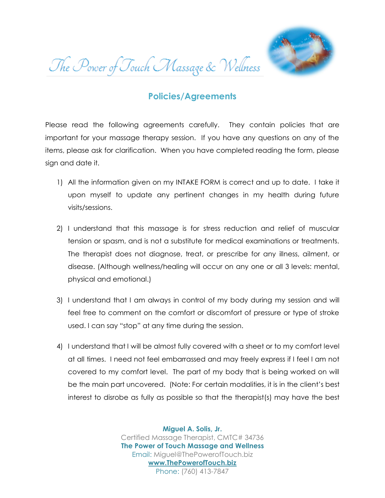The Power of Touch Massage & Wellness



## **Policies/Agreements**

Please read the following agreements carefully. They contain policies that are important for your massage therapy session. If you have any questions on any of the items, please ask for clarification. When you have completed reading the form, please sign and date it.

- 1) All the information given on my INTAKE FORM is correct and up to date. I take it upon myself to update any pertinent changes in my health during future visits/sessions.
- 2) I understand that this massage is for stress reduction and relief of muscular tension or spasm, and is not a substitute for medical examinations or treatments. The therapist does not diagnose, treat, or prescribe for any illness, ailment, or disease. (Although wellness/healing will occur on any one or all 3 levels: mental, physical and emotional.)
- 3) I understand that I am always in control of my body during my session and will feel free to comment on the comfort or discomfort of pressure or type of stroke used. I can say "stop" at any time during the session.
- 4) I understand that I will be almost fully covered with a sheet or to my comfort level at all times. I need not feel embarrassed and may freely express if I feel I am not covered to my comfort level. The part of my body that is being worked on will be the main part uncovered. (Note: For certain modalities, it is in the client's best interest to disrobe as fully as possible so that the therapist(s) may have the best

**Miguel A. Solis, Jr.** Certified Massage Therapist, CMTC# 34736 **The Power of Touch Massage and Wellness** Email: Miguel@ThePowerofTouch.biz **www.ThePowerofTouch.biz** Phone: (760) 413-7847